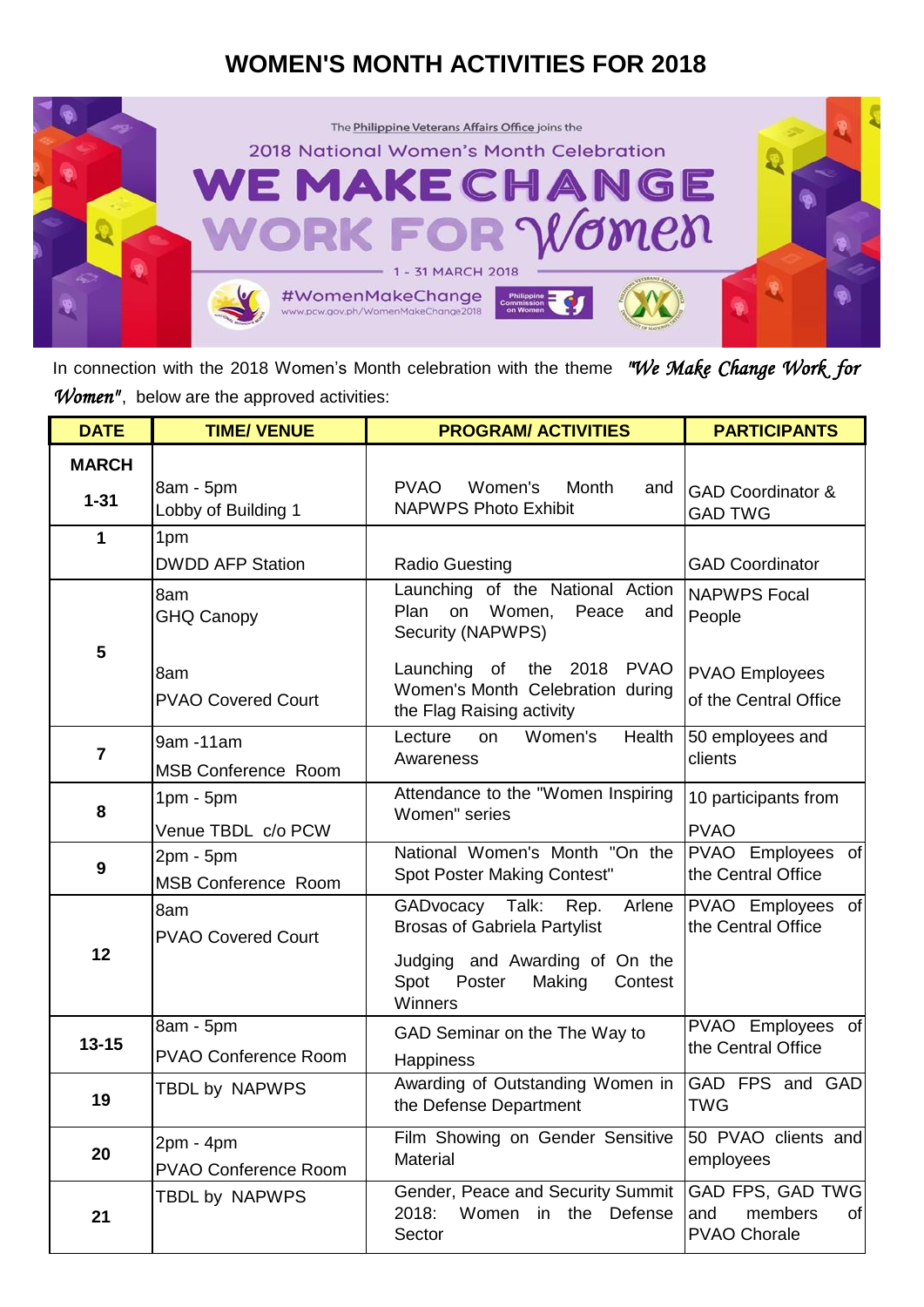## **WOMEN'S MONTH ACTIVITIES FOR 2018**



In connection with the 2018 Women's Month celebration with the theme *"We Make Change Work for Women"*, below are the approved activities:

| <b>DATE</b>              | <b>TIME/ VENUE</b>                         | <b>PROGRAM/ ACTIVITIES</b>                                                                                                                             | <b>PARTICIPANTS</b>                                             |
|--------------------------|--------------------------------------------|--------------------------------------------------------------------------------------------------------------------------------------------------------|-----------------------------------------------------------------|
| <b>MARCH</b><br>$1 - 31$ | 8am - 5pm<br>Lobby of Building 1           | <b>PVAO</b><br>Women's Month<br>and<br><b>NAPWPS Photo Exhibit</b>                                                                                     | <b>GAD Coordinator &amp;</b><br><b>GAD TWG</b>                  |
| $\mathbf 1$              | 1pm<br><b>DWDD AFP Station</b>             | <b>Radio Guesting</b>                                                                                                                                  | <b>GAD Coordinator</b>                                          |
| 5                        | 8am<br><b>GHQ Canopy</b>                   | Launching of the National Action<br>Plan<br>on<br>Women,<br>Peace<br>and<br>Security (NAPWPS)                                                          | <b>NAPWPS Focal</b><br>People                                   |
|                          | 8am<br><b>PVAO Covered Court</b>           | Launching of the 2018 PVAO<br>Women's Month Celebration during<br>the Flag Raising activity                                                            | <b>PVAO Employees</b><br>of the Central Office                  |
| $\overline{7}$           | 9am -11am<br><b>MSB Conference Room</b>    | Health<br>Women's<br>Lecture<br>on<br>Awareness                                                                                                        | 50 employees and<br>clients                                     |
| 8                        | $1pm - 5pm$<br>Venue TBDL c/o PCW          | Attendance to the "Women Inspiring<br>Women" series                                                                                                    | 10 participants from<br><b>PVAO</b>                             |
| 9                        | 2pm - 5pm<br><b>MSB Conference Room</b>    | National Women's Month "On the<br>Spot Poster Making Contest"                                                                                          | <b>PVAO</b> Employees of<br>the Central Office                  |
| 12                       | 8am<br><b>PVAO Covered Court</b>           | GADvocacy Talk: Rep.<br>Arlene<br><b>Brosas of Gabriela Partylist</b><br>Judging and Awarding of On the<br>Spot Poster<br>Making<br>Contest<br>Winners | PVAO Employees of<br>the Central Office                         |
| $13 - 15$                | 8am - 5pm<br><b>PVAO Conference Room</b>   | GAD Seminar on the The Way to<br>Happiness                                                                                                             | PVAO Employees of<br>the Central Office                         |
| 19                       | TBDL by NAPWPS                             | Awarding of Outstanding Women in<br>the Defense Department                                                                                             | GAD FPS and GAD<br><b>TWG</b>                                   |
| 20                       | $2pm - 4pm$<br><b>PVAO Conference Room</b> | Film Showing on Gender Sensitive<br>Material                                                                                                           | 50 PVAO clients and<br>employees                                |
| 21                       | TBDL by NAPWPS                             | Gender, Peace and Security Summit<br>2018:<br>Women in the Defense<br>Sector                                                                           | GAD FPS, GAD TWG<br>members<br>and<br>of<br><b>PVAO Chorale</b> |